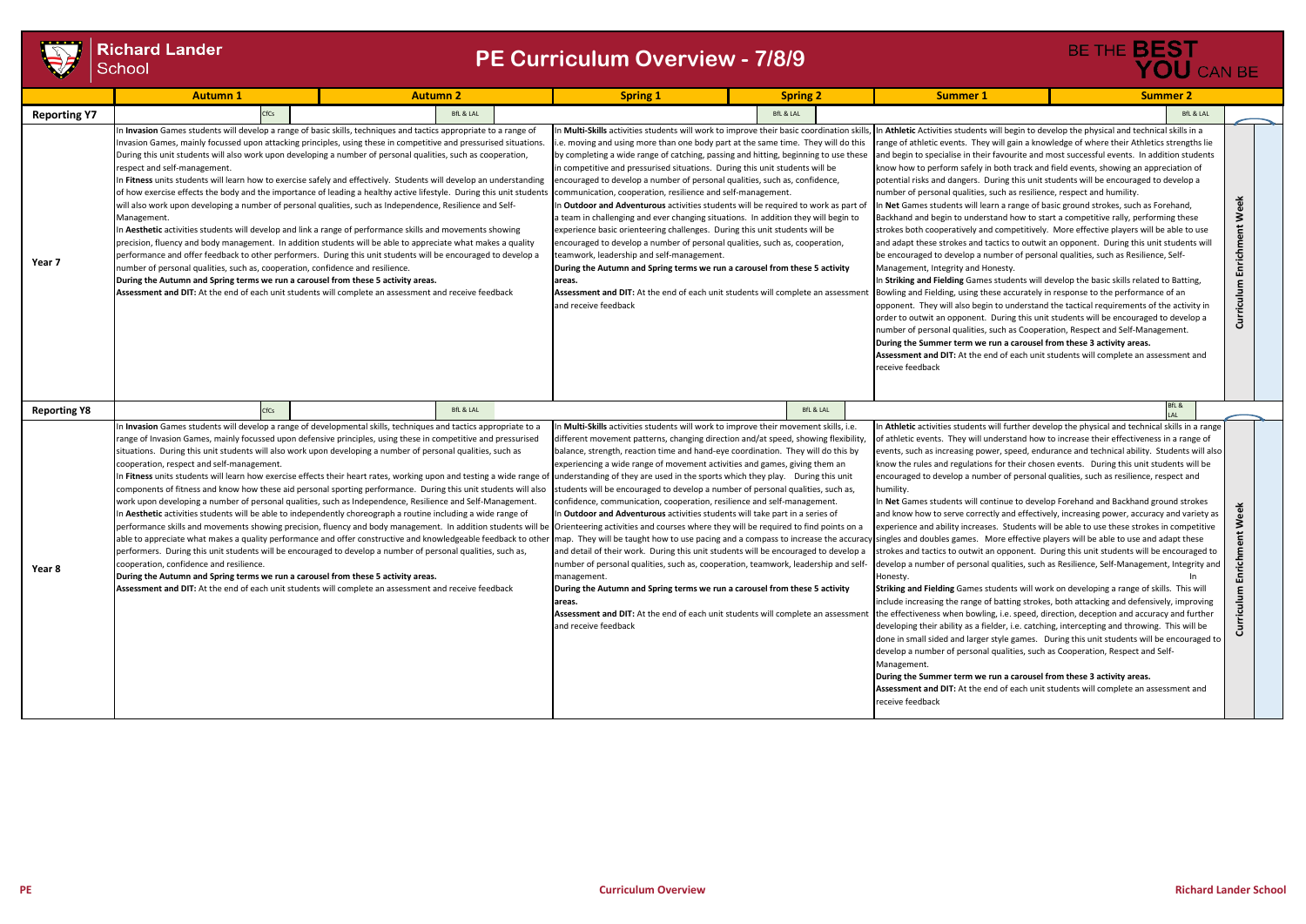

## **Richard Lander**<br>School

|                     | <b>Autumn 1</b>                                                                                                                                                                                                                                                                                                                                                                                                                                                                                                                                                                                                                                                                                                                                                                                                                                                                                                                                                                                                                                                                                                                                                                                                                                                                                                                                                                             | <b>Autumn 2</b>      | <b>Spring 1</b>                                                                                                                                                                                                                                                                                                                                                                                                                                                                                                                                                                                                                                                                                                                                                                                                                                                                                                                                                                                                                                                                                                                                                                                                                                                                                                                                                                                        | <b>Spring 2</b>      | <b>Summer 1</b>                                                                                                                                                                                                                                                                                                                                                                                                                                                                                                                                                                                                                                                                                                                                                                                                                                                                                                                                                                                                                                                                                                                                                                                                                                                                                                                                                                                                                                                                                                                                                                                                                                                                                              | <b>Summer 2</b>                                                                                                                                                                                                                                                                                                                                                                                                                                                                                                                                                                                                                                                                                                                                                                                                                                                                                                                                                                    |                                  |
|---------------------|---------------------------------------------------------------------------------------------------------------------------------------------------------------------------------------------------------------------------------------------------------------------------------------------------------------------------------------------------------------------------------------------------------------------------------------------------------------------------------------------------------------------------------------------------------------------------------------------------------------------------------------------------------------------------------------------------------------------------------------------------------------------------------------------------------------------------------------------------------------------------------------------------------------------------------------------------------------------------------------------------------------------------------------------------------------------------------------------------------------------------------------------------------------------------------------------------------------------------------------------------------------------------------------------------------------------------------------------------------------------------------------------|----------------------|--------------------------------------------------------------------------------------------------------------------------------------------------------------------------------------------------------------------------------------------------------------------------------------------------------------------------------------------------------------------------------------------------------------------------------------------------------------------------------------------------------------------------------------------------------------------------------------------------------------------------------------------------------------------------------------------------------------------------------------------------------------------------------------------------------------------------------------------------------------------------------------------------------------------------------------------------------------------------------------------------------------------------------------------------------------------------------------------------------------------------------------------------------------------------------------------------------------------------------------------------------------------------------------------------------------------------------------------------------------------------------------------------------|----------------------|--------------------------------------------------------------------------------------------------------------------------------------------------------------------------------------------------------------------------------------------------------------------------------------------------------------------------------------------------------------------------------------------------------------------------------------------------------------------------------------------------------------------------------------------------------------------------------------------------------------------------------------------------------------------------------------------------------------------------------------------------------------------------------------------------------------------------------------------------------------------------------------------------------------------------------------------------------------------------------------------------------------------------------------------------------------------------------------------------------------------------------------------------------------------------------------------------------------------------------------------------------------------------------------------------------------------------------------------------------------------------------------------------------------------------------------------------------------------------------------------------------------------------------------------------------------------------------------------------------------------------------------------------------------------------------------------------------------|------------------------------------------------------------------------------------------------------------------------------------------------------------------------------------------------------------------------------------------------------------------------------------------------------------------------------------------------------------------------------------------------------------------------------------------------------------------------------------------------------------------------------------------------------------------------------------------------------------------------------------------------------------------------------------------------------------------------------------------------------------------------------------------------------------------------------------------------------------------------------------------------------------------------------------------------------------------------------------|----------------------------------|
| <b>Reporting Y7</b> | CfCs                                                                                                                                                                                                                                                                                                                                                                                                                                                                                                                                                                                                                                                                                                                                                                                                                                                                                                                                                                                                                                                                                                                                                                                                                                                                                                                                                                                        | <b>BfL &amp; LAL</b> |                                                                                                                                                                                                                                                                                                                                                                                                                                                                                                                                                                                                                                                                                                                                                                                                                                                                                                                                                                                                                                                                                                                                                                                                                                                                                                                                                                                                        | <b>BfL &amp; LAL</b> |                                                                                                                                                                                                                                                                                                                                                                                                                                                                                                                                                                                                                                                                                                                                                                                                                                                                                                                                                                                                                                                                                                                                                                                                                                                                                                                                                                                                                                                                                                                                                                                                                                                                                                              | <b>BfL &amp; LAL</b>                                                                                                                                                                                                                                                                                                                                                                                                                                                                                                                                                                                                                                                                                                                                                                                                                                                                                                                                                               |                                  |
| Year 7              | Invasion Games students will develop a range of basic skills, techniques and tactics appropriate to a range of<br>nvasion Games, mainly focussed upon attacking principles, using these in competitive and pressurised situations.<br>During this unit students will also work upon developing a number of personal qualities, such as cooperation,<br>respect and self-management.<br>n Fitness units students will learn how to exercise safely and effectively. Students will develop an understanding<br>of how exercise effects the body and the importance of leading a healthy active lifestyle. During this unit students<br>will also work upon developing a number of personal qualities, such as Independence, Resilience and Self-<br>Management.<br>n Aesthetic activities students will develop and link a range of performance skills and movements showing<br>precision, fluency and body management. In addition students will be able to appreciate what makes a quality<br>performance and offer feedback to other performers. During this unit students will be encouraged to develop a<br>number of personal qualities, such as, cooperation, confidence and resilience.<br>During the Autumn and Spring terms we run a carousel from these 5 activity areas.<br>Assessment and DIT: At the end of each unit students will complete an assessment and receive feedback |                      | In Multi-Skills activities students will work to improve their basic coordination skills<br>i.e. moving and using more than one body part at the same time. They will do this<br>by completing a wide range of catching, passing and hitting, beginning to use these<br>in competitive and pressurised situations. During this unit students will be<br>encouraged to develop a number of personal qualities, such as, confidence,<br>communication, cooperation, resilience and self-management.<br>In <b>Outdoor and Adventurous</b> activities students will be required to work as part of<br>a team in challenging and ever changing situations. In addition they will begin to<br>experience basic orienteering challenges. During this unit students will be<br>encouraged to develop a number of personal qualities, such as, cooperation,<br>teamwork, leadership and self-management.<br>During the Autumn and Spring terms we run a carousel from these 5 activity<br>areas.<br><b>Assessment and DIT:</b> At the end of each unit students will complete an assessment<br>and receive feedback                                                                                                                                                                                                                                                                                             |                      | In Athletic Activities students will begin to develop the physical and technical skills in a<br>range of athletic events. They will gain a knowledge of where their Athletics strengths lie<br>and begin to specialise in their favourite and most successful events. In addition students<br>know how to perform safely in both track and field events, showing an appreciation of<br>potential risks and dangers. During this unit students will be encouraged to develop a<br>number of personal qualities, such as resilience, respect and humility.<br>In Net Games students will learn a range of basic ground strokes, such as Forehand,<br>Backhand and begin to understand how to start a competitive rally, performing these<br>strokes both cooperatively and competitively. More effective players will be able to use<br>and adapt these strokes and tactics to outwit an opponent. During this unit students will<br>be encouraged to develop a number of personal qualities, such as Resilience, Self-<br>Management, Integrity and Honesty.<br>In Striking and Fielding Games students will develop the basic skills related to Batting,<br>Bowling and Fielding, using these accurately in response to the performance of an<br>opponent. They will also begin to understand the tactical requirements of the activity in<br>order to outwit an opponent. During this unit students will be encouraged to develop a<br>number of personal qualities, such as Cooperation, Respect and Self-Management.<br>During the Summer term we run a carousel from these 3 activity areas.<br>Assessment and DIT: At the end of each unit students will complete an assessment and<br>receive feedback | Week<br>Enrichment<br>Curriculum                                                                                                                                                                                                                                                                                                                                                                                                                                                                                                                                                                                                                                                                                                                                                                                                                                                                                                                                                   |                                  |
| <b>Reporting Y8</b> | CfCs                                                                                                                                                                                                                                                                                                                                                                                                                                                                                                                                                                                                                                                                                                                                                                                                                                                                                                                                                                                                                                                                                                                                                                                                                                                                                                                                                                                        | <b>BfL &amp; LAL</b> |                                                                                                                                                                                                                                                                                                                                                                                                                                                                                                                                                                                                                                                                                                                                                                                                                                                                                                                                                                                                                                                                                                                                                                                                                                                                                                                                                                                                        | <b>BfL &amp; LAL</b> |                                                                                                                                                                                                                                                                                                                                                                                                                                                                                                                                                                                                                                                                                                                                                                                                                                                                                                                                                                                                                                                                                                                                                                                                                                                                                                                                                                                                                                                                                                                                                                                                                                                                                                              | BfL &                                                                                                                                                                                                                                                                                                                                                                                                                                                                                                                                                                                                                                                                                                                                                                                                                                                                                                                                                                              |                                  |
| Year 8              | Invasion Games students will develop a range of developmental skills, techniques and tactics appropriate to a<br>range of Invasion Games, mainly focussed upon defensive principles, using these in competitive and pressurised<br>situations. During this unit students will also work upon developing a number of personal qualities, such as<br>cooperation, respect and self-management.<br>components of fitness and know how these aid personal sporting performance. During this unit students will also<br>work upon developing a number of personal qualities, such as Independence, Resilience and Self-Management.<br>n Aesthetic activities students will be able to independently choreograph a routine including a wide range of<br>able to appreciate what makes a quality performance and offer constructive and knowledgeable feedback to other<br>performers. During this unit students will be encouraged to develop a number of personal qualities, such as,<br>cooperation, confidence and resilience.<br>During the Autumn and Spring terms we run a carousel from these 5 activity areas.<br>Assessment and DIT: At the end of each unit students will complete an assessment and receive feedback                                                                                                                                                                   |                      | In Multi-Skills activities students will work to improve their movement skills, i.e.<br>different movement patterns, changing direction and/at speed, showing flexibility<br>balance, strength, reaction time and hand-eye coordination. They will do this by<br>experiencing a wide range of movement activities and games, giving them an<br>n Fitness units students will learn how exercise effects their heart rates, working upon and testing a wide range of understanding of they are used in the sports which they play. During this unit<br>students will be encouraged to develop a number of personal qualities, such as,<br>confidence, communication, cooperation, resilience and self-management.<br>In Outdoor and Adventurous activities students will take part in a series of<br>performance skills and movements showing precision, fluency and body management. In addition students will be  Orienteering activities and courses where they will be required to find points on a<br>and detail of their work. During this unit students will be encouraged to develop a<br>number of personal qualities, such as, cooperation, teamwork, leadership and self-<br>management.<br>During the Autumn and Spring terms we run a carousel from these 5 activity<br>areas.<br>Assessment and DIT: At the end of each unit students will complete an assessment<br>and receive feedback |                      | encouraged to develop a number of personal qualities, such as resilience, respect and<br>humility.<br>In Net Games students will continue to develop Forehand and Backhand ground strokes<br>map. They will be taught how to use pacing and a compass to increase the accuracy singles and doubles games. More effective players will be able to use and adapt these<br>Honesty.<br>Striking and Fielding Games students will work on developing a range of skills. This will<br>the effectiveness when bowling, i.e. speed, direction, deception and accuracy and further<br>developing their ability as a fielder, i.e. catching, intercepting and throwing. This will be<br>develop a number of personal qualities, such as Cooperation, Respect and Self-<br>Management.<br>During the Summer term we run a carousel from these 3 activity areas.<br>Assessment and DIT: At the end of each unit students will complete an assessment and<br>receive feedback                                                                                                                                                                                                                                                                                                                                                                                                                                                                                                                                                                                                                                                                                                                                            | In Athletic activities students will further develop the physical and technical skills in a range<br>of athletic events. They will understand how to increase their effectiveness in a range of<br>events, such as increasing power, speed, endurance and technical ability. Students will also<br>know the rules and regulations for their chosen events. During this unit students will be<br>and know how to serve correctly and effectively, increasing power, accuracy and variety as<br>experience and ability increases. Students will be able to use these strokes in competitive<br>strokes and tactics to outwit an opponent. During this unit students will be encouraged to<br>develop a number of personal qualities, such as Resilience, Self-Management, Integrity and<br>include increasing the range of batting strokes, both attacking and defensively, improving<br>done in small sided and larger style games. During this unit students will be encouraged to | Week<br>inrichment<br>Curriculum |

# BE THE **BEST**<br>YOU CAN BE

### **PE Curriculum Overview - 7/8/9**

**PE Curriculum Overview Richard Lander School**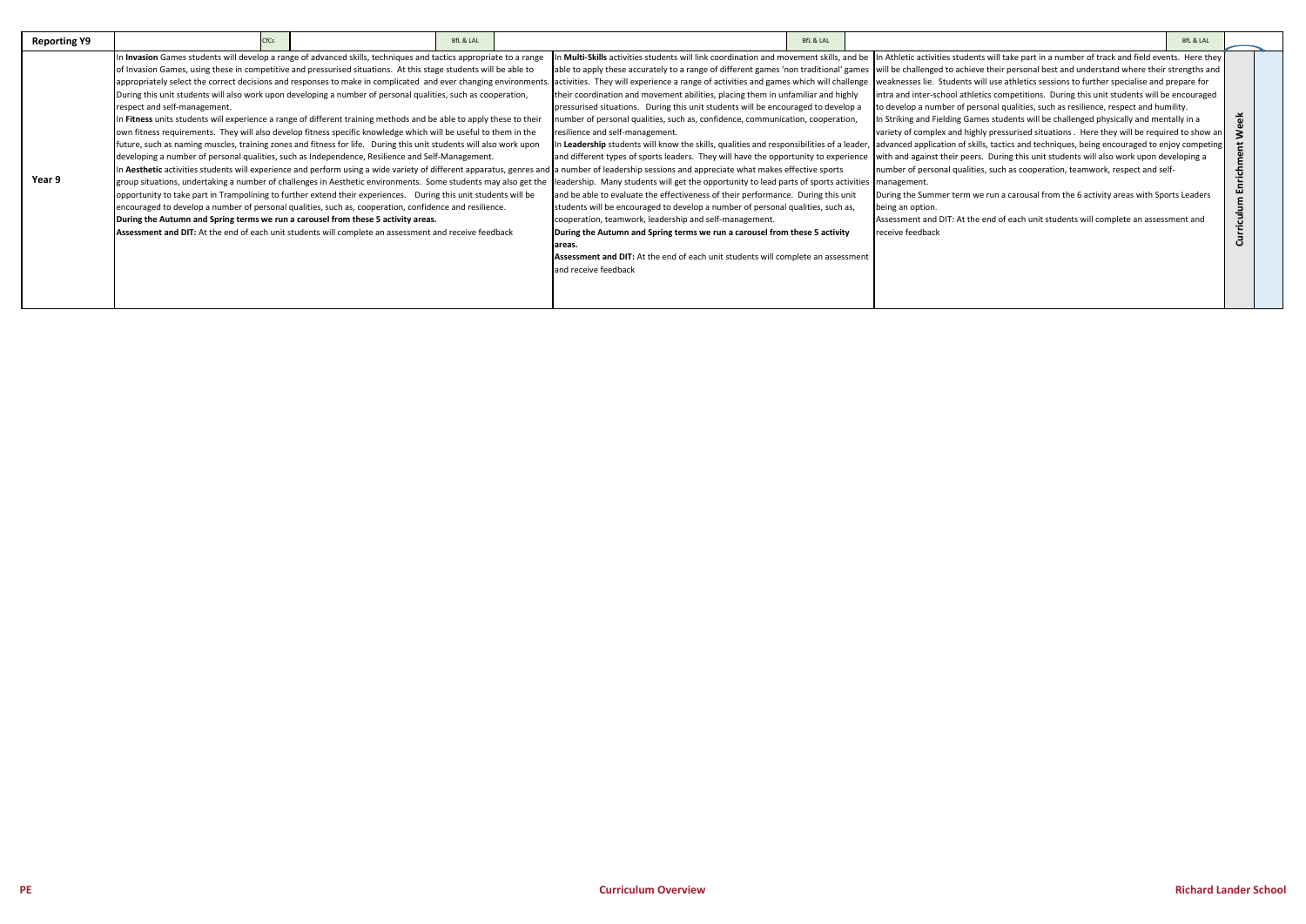| <b>Reporting Y9</b> | <b>CfCs</b>                                                                                                                                                                                                                                                                                                                                                                                                                                                                                                                                                                                                                                                                                                                                                                                                                                                                                                                                                                                                                                                                                                                                                                                                                                                                                                                                                                                               | <b>BfL &amp; LAL</b> | BfL & LAL                                                                                                                                                                                                                                                                                                                                                                                                                                                                                                                                                                                                                                                                                                                                                                                                                                                                                                                                                                                                                                                                                                                                                | <b>BfL &amp; LAL</b>                                                                                                                                                                                                                                                                                                                                                                                                                                                                                                                                                                                                                                                                                                                                                                                                                                                                                                                                                                                                                                                                                                                                                                                                                                                                                                                                                                                                                                                                                                                                                                                                                    |                                      |
|---------------------|-----------------------------------------------------------------------------------------------------------------------------------------------------------------------------------------------------------------------------------------------------------------------------------------------------------------------------------------------------------------------------------------------------------------------------------------------------------------------------------------------------------------------------------------------------------------------------------------------------------------------------------------------------------------------------------------------------------------------------------------------------------------------------------------------------------------------------------------------------------------------------------------------------------------------------------------------------------------------------------------------------------------------------------------------------------------------------------------------------------------------------------------------------------------------------------------------------------------------------------------------------------------------------------------------------------------------------------------------------------------------------------------------------------|----------------------|----------------------------------------------------------------------------------------------------------------------------------------------------------------------------------------------------------------------------------------------------------------------------------------------------------------------------------------------------------------------------------------------------------------------------------------------------------------------------------------------------------------------------------------------------------------------------------------------------------------------------------------------------------------------------------------------------------------------------------------------------------------------------------------------------------------------------------------------------------------------------------------------------------------------------------------------------------------------------------------------------------------------------------------------------------------------------------------------------------------------------------------------------------|-----------------------------------------------------------------------------------------------------------------------------------------------------------------------------------------------------------------------------------------------------------------------------------------------------------------------------------------------------------------------------------------------------------------------------------------------------------------------------------------------------------------------------------------------------------------------------------------------------------------------------------------------------------------------------------------------------------------------------------------------------------------------------------------------------------------------------------------------------------------------------------------------------------------------------------------------------------------------------------------------------------------------------------------------------------------------------------------------------------------------------------------------------------------------------------------------------------------------------------------------------------------------------------------------------------------------------------------------------------------------------------------------------------------------------------------------------------------------------------------------------------------------------------------------------------------------------------------------------------------------------------------|--------------------------------------|
| Year 9              | In Invasion Games students will develop a range of advanced skills, techniques and tactics appropriate to a range<br>of Invasion Games, using these in competitive and pressurised situations. At this stage students will be able to<br>appropriately select the correct decisions and responses to make in complicated and ever changing environments.<br>During this unit students will also work upon developing a number of personal qualities, such as cooperation,<br>respect and self-management.<br>In Fitness units students will experience a range of different training methods and be able to apply these to their<br>own fitness requirements. They will also develop fitness specific knowledge which will be useful to them in the<br>future, such as naming muscles, training zones and fitness for life. During this unit students will also work upon<br>developing a number of personal qualities, such as Independence, Resilience and Self-Management.<br>opportunity to take part in Trampolining to further extend their experiences. During this unit students will be<br>lencouraged to develop a number of personal qualities, such as, cooperation, confidence and resilience.<br>During the Autumn and Spring terms we run a carousel from these 5 activity areas.<br>Assessment and DIT: At the end of each unit students will complete an assessment and receive feedback |                      | their coordination and movement abilities, placing them in unfamiliar and highly<br>pressurised situations. During this unit students will be encouraged to develop a<br>number of personal qualities, such as, confidence, communication, cooperation,<br>resilience and self-management.<br>In Aesthetic activities students will experience and perform using a wide variety of different apparatus, genres and a number of leadership sessions and appreciate what makes effective sports<br>group situations, undertaking a number of challenges in Aesthetic environments. Some students may also get the lleadership. Many students will get the opportunity to lead parts of sports activities  management.<br>and be able to evaluate the effectiveness of their performance. During this unit<br>students will be encouraged to develop a number of personal qualities, such as,<br>cooperation, teamwork, leadership and self-management.<br>During the Autumn and Spring terms we run a carousel from these 5 activity<br>areas.<br>Assessment and DIT: At the end of each unit students will complete an assessment<br>and receive feedback | n Multi-Skills activities students will link coordination and movement skills, and be  In Athletic activities students will take part in a number of track and field events. Here they<br>able to apply these accurately to a range of different games 'non traditional' games will be challenged to achieve their personal best and understand where their strengths and<br>. activities. They will experience a range of activities and games which will challenge vweaknesses lie. Students will use athletics sessions to further specialise and prepare for<br>intra and inter-school athletics competitions. During this unit students will be encouraged<br>to develop a number of personal qualities, such as resilience, respect and humility.<br>In Striking and Fielding Games students will be challenged physically and mentally in a<br>variety of complex and highly pressurised situations . Here they will be required to show an<br>In Leadership students will know the skills, qualities and responsibilities of a leader,  advanced application of skills, tactics and techniques, being encouraged to enjoy competing<br>and different types of sports leaders. They will have the opportunity to experience with and against their peers. During this unit students will also work upon developing a<br>number of personal qualities, such as cooperation, teamwork, respect and self-<br>During the Summer term we run a carousal from the 6 activity areas with Sports Leaders<br>being an option.<br>Assessment and DIT: At the end of each unit students will complete an assessment and<br>receive feedback | eek<br>3<br>Enrichment<br>Curriculum |